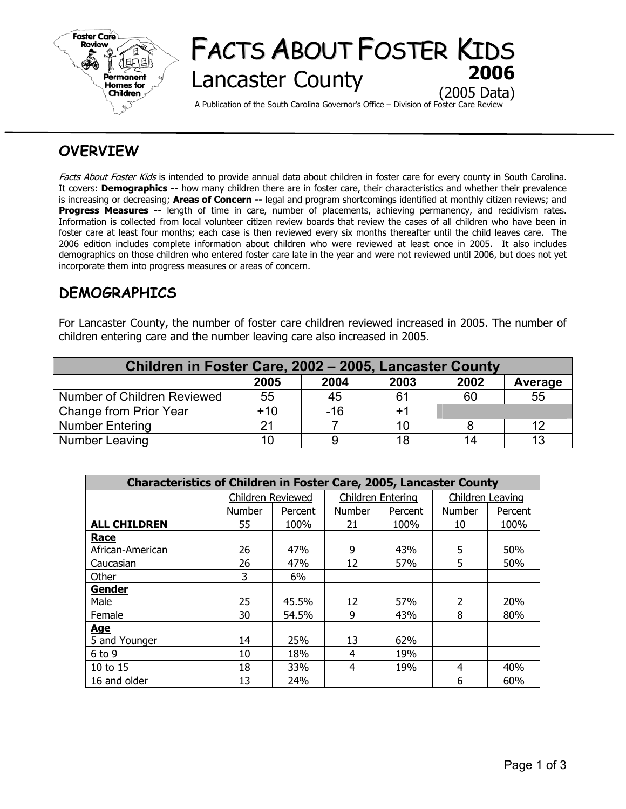

# FACTS ABOUT FOSTER KIDS **Lancaster County** (2005 Data)

A Publication of the South Carolina Governor's Office – Division of Foster Care Review

## **OVERVIEW**

Facts About Foster Kids is intended to provide annual data about children in foster care for every county in South Carolina. It covers: **Demographics --** how many children there are in foster care, their characteristics and whether their prevalence is increasing or decreasing; **Areas of Concern --** legal and program shortcomings identified at monthly citizen reviews; and **Progress Measures --** length of time in care, number of placements, achieving permanency, and recidivism rates. Information is collected from local volunteer citizen review boards that review the cases of all children who have been in foster care at least four months; each case is then reviewed every six months thereafter until the child leaves care. The 2006 edition includes complete information about children who were reviewed at least once in 2005. It also includes demographics on those children who entered foster care late in the year and were not reviewed until 2006, but does not yet incorporate them into progress measures or areas of concern.

## **DEMOGRAPHICS**

For Lancaster County, the number of foster care children reviewed increased in 2005. The number of children entering care and the number leaving care also increased in 2005.

| Children in Foster Care, 2002 - 2005, Lancaster County |       |       |      |      |         |  |  |  |
|--------------------------------------------------------|-------|-------|------|------|---------|--|--|--|
|                                                        | 2005  | 2004  | 2003 | 2002 | Average |  |  |  |
| Number of Children Reviewed                            | 55    | 45    | 61   | 60   | 55      |  |  |  |
| Change from Prior Year                                 | $+10$ | $-16$ | $+1$ |      |         |  |  |  |
| <b>Number Entering</b>                                 | 21    |       | 10   |      | 12      |  |  |  |
| Number Leaving                                         | 10    |       | 18   | 14   | 13      |  |  |  |

| <b>Characteristics of Children in Foster Care, 2005, Lancaster County</b> |                   |         |                          |         |                  |         |  |  |
|---------------------------------------------------------------------------|-------------------|---------|--------------------------|---------|------------------|---------|--|--|
|                                                                           | Children Reviewed |         | <b>Children Entering</b> |         | Children Leaving |         |  |  |
|                                                                           | <b>Number</b>     | Percent | <b>Number</b>            | Percent | <b>Number</b>    | Percent |  |  |
| <b>ALL CHILDREN</b>                                                       | 55                | 100%    | 21                       | 100%    | 10               | 100%    |  |  |
| Race                                                                      |                   |         |                          |         |                  |         |  |  |
| African-American                                                          | 26                | 47%     | 9                        | 43%     | 5                | 50%     |  |  |
| Caucasian                                                                 | 26                | 47%     | 12                       | 57%     | 5                | 50%     |  |  |
| Other                                                                     | 3                 | 6%      |                          |         |                  |         |  |  |
| <b>Gender</b>                                                             |                   |         |                          |         |                  |         |  |  |
| Male                                                                      | 25                | 45.5%   | 12                       | 57%     | $\overline{2}$   | 20%     |  |  |
| Female                                                                    | 30                | 54.5%   | 9                        | 43%     | 8                | 80%     |  |  |
| <u>Age</u>                                                                |                   |         |                          |         |                  |         |  |  |
| 5 and Younger                                                             | 14                | 25%     | 13                       | 62%     |                  |         |  |  |
| $6$ to 9                                                                  | 10                | 18%     | 4                        | 19%     |                  |         |  |  |
| $10$ to $15$                                                              | 18                | 33%     | 4                        | 19%     | 4                | 40%     |  |  |
| 16 and older                                                              | 13                | 24%     |                          |         | 6                | 60%     |  |  |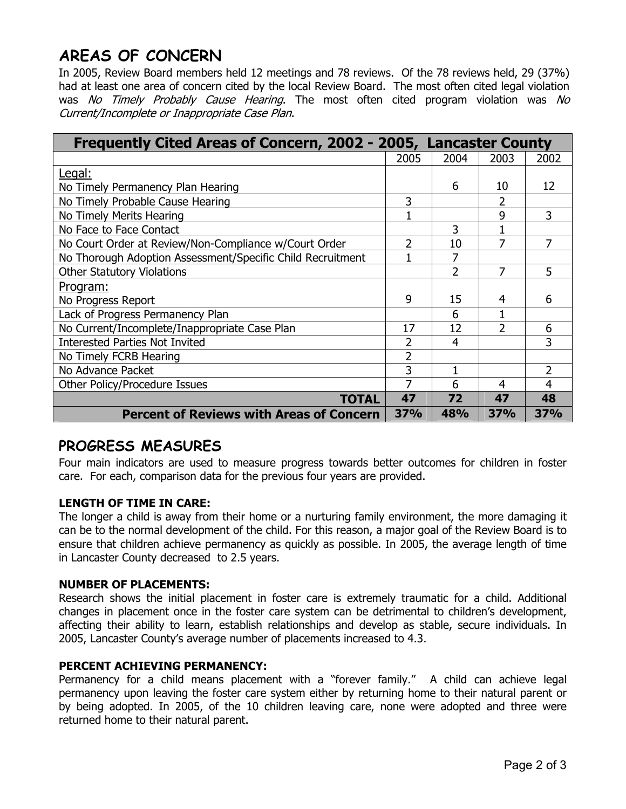## **AREAS OF CONCERN**

In 2005, Review Board members held 12 meetings and 78 reviews. Of the 78 reviews held, 29 (37%) had at least one area of concern cited by the local Review Board. The most often cited legal violation was No Timely Probably Cause Hearing. The most often cited program violation was No Current/Incomplete or Inappropriate Case Plan.

| Frequently Cited Areas of Concern, 2002 - 2005, Lancaster County |                |            |                          |      |
|------------------------------------------------------------------|----------------|------------|--------------------------|------|
|                                                                  | 2005           | 2004       | 2003                     | 2002 |
| Legal:                                                           |                |            |                          |      |
| No Timely Permanency Plan Hearing                                |                | 6          | 10                       | 12   |
| No Timely Probable Cause Hearing                                 | 3              |            | 2                        |      |
| No Timely Merits Hearing                                         |                |            | 9                        | 3    |
| No Face to Face Contact                                          |                | 3          |                          |      |
| No Court Order at Review/Non-Compliance w/Court Order            | 2              | 10         | 7                        | 7    |
| No Thorough Adoption Assessment/Specific Child Recruitment       |                | 7          |                          |      |
| <b>Other Statutory Violations</b>                                |                | 2          |                          | 5    |
| <u>Program:</u>                                                  |                |            |                          |      |
| No Progress Report                                               | 9              | 15         | 4                        | 6    |
| Lack of Progress Permanency Plan                                 |                | 6          |                          |      |
| No Current/Incomplete/Inappropriate Case Plan                    | 17             | 12         | $\overline{\phantom{a}}$ | 6    |
| <b>Interested Parties Not Invited</b>                            |                | 4          |                          | 3    |
| No Timely FCRB Hearing                                           | $\overline{2}$ |            |                          |      |
| No Advance Packet                                                | 3              |            |                          | 2    |
| Other Policy/Procedure Issues                                    | 7              | 6          | 4                        | 4    |
| <b>TOTAL</b>                                                     | 47             | 72         | 47                       | 48   |
| <b>Percent of Reviews with Areas of Concern</b>                  | <b>37%</b>     | <b>48%</b> | <b>37%</b>               | 37%  |

## **PROGRESS MEASURES**

Four main indicators are used to measure progress towards better outcomes for children in foster care. For each, comparison data for the previous four years are provided.

### **LENGTH OF TIME IN CARE:**

The longer a child is away from their home or a nurturing family environment, the more damaging it can be to the normal development of the child. For this reason, a major goal of the Review Board is to ensure that children achieve permanency as quickly as possible. In 2005, the average length of time in Lancaster County decreased to 2.5 years.

### **NUMBER OF PLACEMENTS:**

Research shows the initial placement in foster care is extremely traumatic for a child. Additional changes in placement once in the foster care system can be detrimental to children's development, affecting their ability to learn, establish relationships and develop as stable, secure individuals. In 2005, Lancaster County's average number of placements increased to 4.3.

### **PERCENT ACHIEVING PERMANENCY:**

Permanency for a child means placement with a "forever family." A child can achieve legal permanency upon leaving the foster care system either by returning home to their natural parent or by being adopted. In 2005, of the 10 children leaving care, none were adopted and three were returned home to their natural parent.